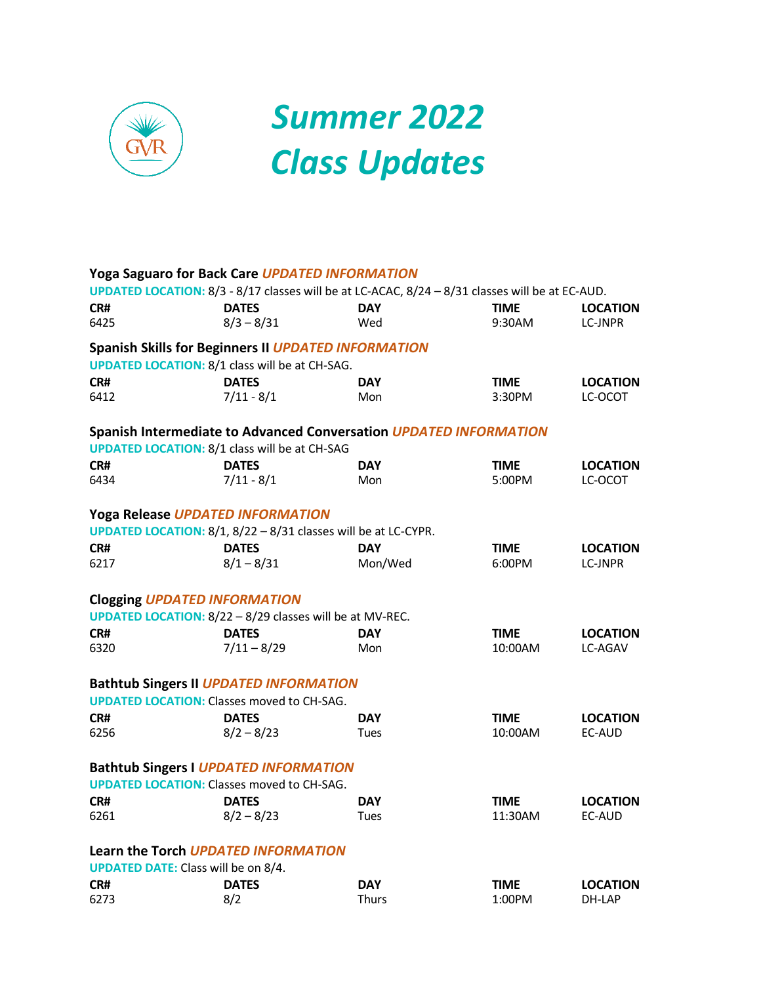

# *Summer 2022 Class Updates*

|      | <b>Yoga Saguaro for Back Care UPDATED INFORMATION</b>                                           |              |             |                 |
|------|-------------------------------------------------------------------------------------------------|--------------|-------------|-----------------|
|      | UPDATED LOCATION: 8/3 - 8/17 classes will be at LC-ACAC, 8/24 - 8/31 classes will be at EC-AUD. |              |             |                 |
| CR#  | <b>DATES</b>                                                                                    | <b>DAY</b>   | <b>TIME</b> | <b>LOCATION</b> |
| 6425 | $8/3 - 8/31$                                                                                    | Wed          | 9:30AM      | <b>LC-JNPR</b>  |
|      | <b>Spanish Skills for Beginners II UPDATED INFORMATION</b>                                      |              |             |                 |
|      | <b>UPDATED LOCATION: 8/1 class will be at CH-SAG.</b>                                           |              |             |                 |
| CR#  | <b>DATES</b>                                                                                    | <b>DAY</b>   | <b>TIME</b> | <b>LOCATION</b> |
| 6412 | $7/11 - 8/1$                                                                                    | Mon          | 3:30PM      | LC-OCOT         |
|      | Spanish Intermediate to Advanced Conversation UPDATED INFORMATION                               |              |             |                 |
|      | <b>UPDATED LOCATION: 8/1 class will be at CH-SAG</b>                                            |              |             |                 |
| CR#  | <b>DATES</b>                                                                                    | <b>DAY</b>   | <b>TIME</b> | <b>LOCATION</b> |
| 6434 | $7/11 - 8/1$                                                                                    | Mon          | 5:00PM      | LC-OCOT         |
|      | Yoga Release UPDATED INFORMATION                                                                |              |             |                 |
|      | UPDATED LOCATION: 8/1, 8/22 - 8/31 classes will be at LC-CYPR.                                  |              |             |                 |
| CR#  | <b>DATES</b>                                                                                    | <b>DAY</b>   | <b>TIME</b> | <b>LOCATION</b> |
| 6217 | $8/1 - 8/31$                                                                                    | Mon/Wed      | 6:00PM      | LC-JNPR         |
|      | <b>Clogging UPDATED INFORMATION</b>                                                             |              |             |                 |
|      | <b>UPDATED LOCATION: 8/22 - 8/29 classes will be at MV-REC.</b>                                 |              |             |                 |
| CR#  | <b>DATES</b>                                                                                    | <b>DAY</b>   | <b>TIME</b> | <b>LOCATION</b> |
| 6320 | $7/11 - 8/29$                                                                                   | Mon          | 10:00AM     | LC-AGAV         |
|      | <b>Bathtub Singers II UPDATED INFORMATION</b>                                                   |              |             |                 |
|      | <b>UPDATED LOCATION: Classes moved to CH-SAG.</b>                                               |              |             |                 |
| CR#  | <b>DATES</b>                                                                                    | <b>DAY</b>   | <b>TIME</b> | <b>LOCATION</b> |
| 6256 | $8/2 - 8/23$                                                                                    | Tues         | 10:00AM     | EC-AUD          |
|      | <b>Bathtub Singers I UPDATED INFORMATION</b>                                                    |              |             |                 |
|      | <b>UPDATED LOCATION: Classes moved to CH-SAG.</b>                                               |              |             |                 |
| CR#  | <b>DATES</b>                                                                                    | <b>DAY</b>   | <b>TIME</b> | <b>LOCATION</b> |
| 6261 | $8/2 - 8/23$                                                                                    | Tues         | 11:30AM     | EC-AUD          |
|      | Learn the Torch UPDATED INFORMATION                                                             |              |             |                 |
|      | <b>UPDATED DATE:</b> Class will be on 8/4.                                                      |              |             |                 |
| CR#  | <b>DATES</b>                                                                                    | <b>DAY</b>   | <b>TIME</b> | <b>LOCATION</b> |
| 6273 | 8/2                                                                                             | <b>Thurs</b> | 1:00PM      | DH-LAP          |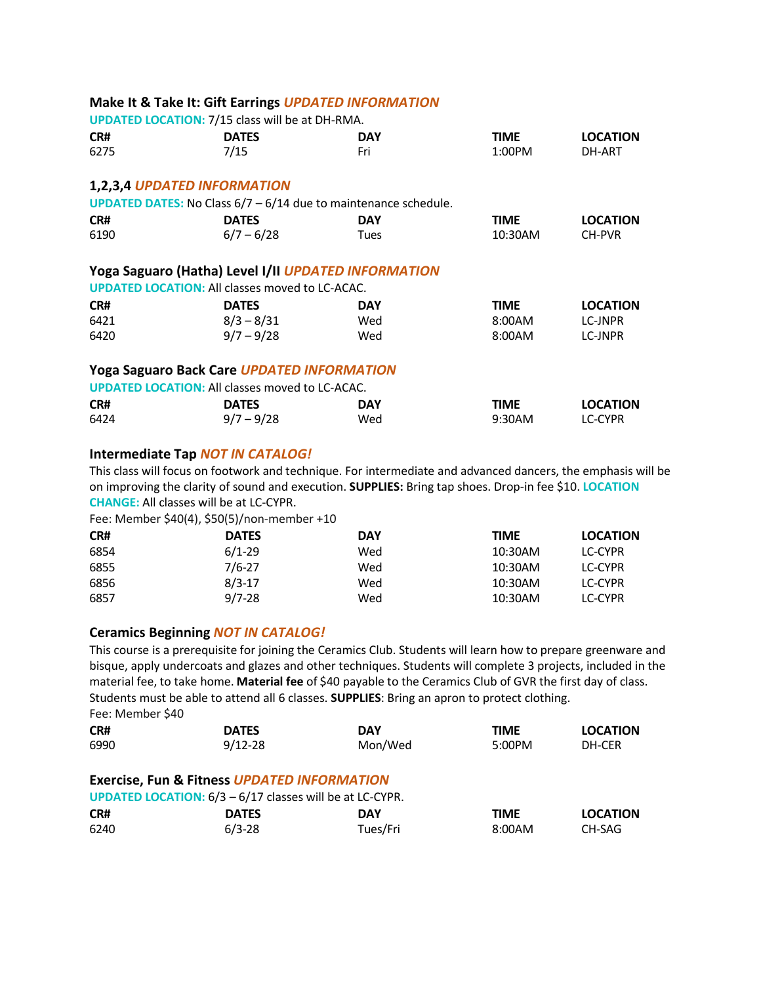|      | Make It & Take It: Gift Earrings UPDATED INFORMATION                     |             |             |                 |
|------|--------------------------------------------------------------------------|-------------|-------------|-----------------|
|      | <b>UPDATED LOCATION: 7/15 class will be at DH-RMA.</b>                   |             |             |                 |
| CR#  | <b>DATES</b>                                                             | <b>DAY</b>  | <b>TIME</b> | <b>LOCATION</b> |
| 6275 | 7/15                                                                     | Fri         | 1:00PM      | DH-ART          |
|      | 1,2,3,4 UPDATED INFORMATION                                              |             |             |                 |
|      | <b>UPDATED DATES:</b> No Class $6/7 - 6/14$ due to maintenance schedule. |             |             |                 |
| CR#  | <b>DATES</b>                                                             | <b>DAY</b>  | <b>TIME</b> | <b>LOCATION</b> |
| 6190 | $6/7 - 6/28$                                                             | <b>Tues</b> | 10:30AM     | CH-PVR          |
|      | Yoga Saguaro (Hatha) Level I/II UPDATED INFORMATION                      |             |             |                 |
|      | <b>UPDATED LOCATION: All classes moved to LC-ACAC.</b>                   |             |             |                 |
| CR#  | <b>DATES</b>                                                             | <b>DAY</b>  | <b>TIME</b> | <b>LOCATION</b> |
| 6421 | $8/3 - 8/31$                                                             | Wed         | 8:00AM      | LC-JNPR         |
| 6420 | $9/7 - 9/28$                                                             | Wed         | 8:00AM      | LC-JNPR         |
|      | <b>Yoga Saguaro Back Care UPDATED INFORMATION</b>                        |             |             |                 |
|      | <b>UPDATED LOCATION: All classes moved to LC-ACAC.</b>                   |             |             |                 |
| CR#  | <b>DATES</b>                                                             | <b>DAY</b>  | <b>TIME</b> | <b>LOCATION</b> |
| 6424 | $9/7 - 9/28$                                                             | Wed         | 9:30AM      | LC-CYPR         |
|      |                                                                          |             |             |                 |

#### **Intermediate Tap** *NOT IN CATALOG!*

This class will focus on footwork and technique. For intermediate and advanced dancers, the emphasis will be on improving the clarity of sound and execution. **SUPPLIES:** Bring tap shoes. Drop-in fee \$10. **LOCATION CHANGE:** All classes will be at LC-CYPR.

Fee: Member \$40(4), \$50(5)/non-member +10

| CR#  | <b>DATES</b> | DAY | TIME    | <b>LOCATION</b> |
|------|--------------|-----|---------|-----------------|
| 6854 | $6/1-29$     | Wed | 10:30AM | LC-CYPR         |
| 6855 | 7/6-27       | Wed | 10:30AM | LC-CYPR         |
| 6856 | $8/3-17$     | Wed | 10:30AM | LC-CYPR         |
| 6857 | $9/7 - 28$   | Wed | 10:30AM | LC-CYPR         |

#### **Ceramics Beginning** *NOT IN CATALOG!*

This course is a prerequisite for joining the Ceramics Club. Students will learn how to prepare greenware and bisque, apply undercoats and glazes and other techniques. Students will complete 3 projects, included in the material fee, to take home. **Material fee** of \$40 payable to the Ceramics Club of GVR the first day of class. Students must be able to attend all 6 classes. **SUPPLIES**: Bring an apron to protect clothing. Fee: Member \$40

| CR#                                                               | <b>DATES</b>                                           | DAY      | <b>TIME</b> | <b>LOCATION</b> |  |  |  |
|-------------------------------------------------------------------|--------------------------------------------------------|----------|-------------|-----------------|--|--|--|
| 6990                                                              | $9/12 - 28$                                            | Mon/Wed  | 5:00PM      | DH-CER          |  |  |  |
|                                                                   |                                                        |          |             |                 |  |  |  |
|                                                                   | <b>Exercise, Fun &amp; Fitness UPDATED INFORMATION</b> |          |             |                 |  |  |  |
| <b>UPDATED LOCATION:</b> $6/3 - 6/17$ classes will be at LC-CYPR. |                                                        |          |             |                 |  |  |  |
| CR#                                                               | <b>DATES</b>                                           | DAY      | <b>TIME</b> | <b>LOCATION</b> |  |  |  |
| 6240                                                              | $6/3 - 28$                                             | Tues/Fri | 8:00AM      | CH-SAG          |  |  |  |